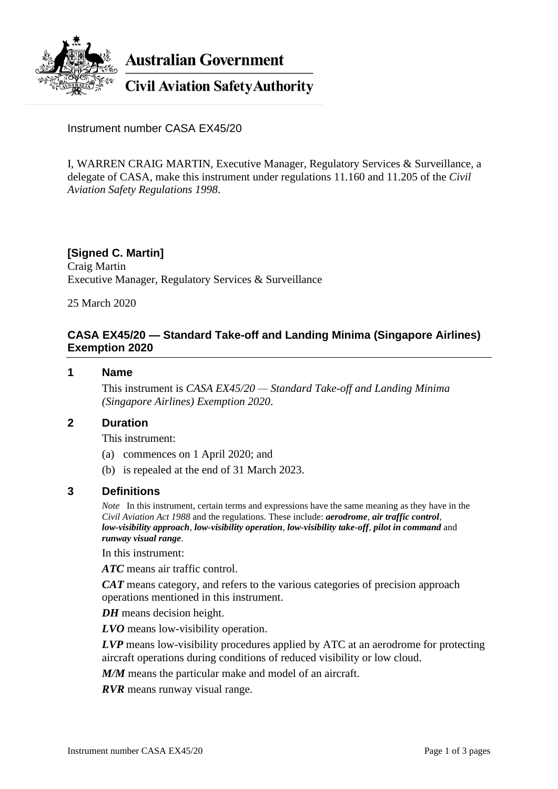

**Australian Government** 

**Civil Aviation Safety Authority** 

Instrument number CASA EX45/20

I, WARREN CRAIG MARTIN, Executive Manager, Regulatory Services & Surveillance, a delegate of CASA, make this instrument under regulations 11.160 and 11.205 of the *Civil Aviation Safety Regulations 1998*.

### **[Signed C. Martin]**

Craig Martin Executive Manager, Regulatory Services & Surveillance

25 March 2020

# **CASA EX45/20 — Standard Take-off and Landing Minima (Singapore Airlines) Exemption 2020**

### **1 Name**

This instrument is *CASA EX45/20 — Standard Take-off and Landing Minima (Singapore Airlines) Exemption 2020*.

### **2 Duration**

This instrument:

- (a) commences on 1 April 2020; and
- (b) is repealed at the end of 31 March 2023.

### **3 Definitions**

*Note* In this instrument, certain terms and expressions have the same meaning as they have in the *Civil Aviation Act 1988* and the regulations. These include: *aerodrome*, *air traffic control*, *low-visibility approach*, *low-visibility operation*, *low-visibility take-off*, *pilot in command* and *runway visual range*.

In this instrument:

*ATC* means air traffic control.

*CAT* means category, and refers to the various categories of precision approach operations mentioned in this instrument.

*DH* means decision height.

*LVO* means low-visibility operation.

*LVP* means low-visibility procedures applied by ATC at an aerodrome for protecting aircraft operations during conditions of reduced visibility or low cloud.

*M/M* means the particular make and model of an aircraft.

*RVR* means runway visual range.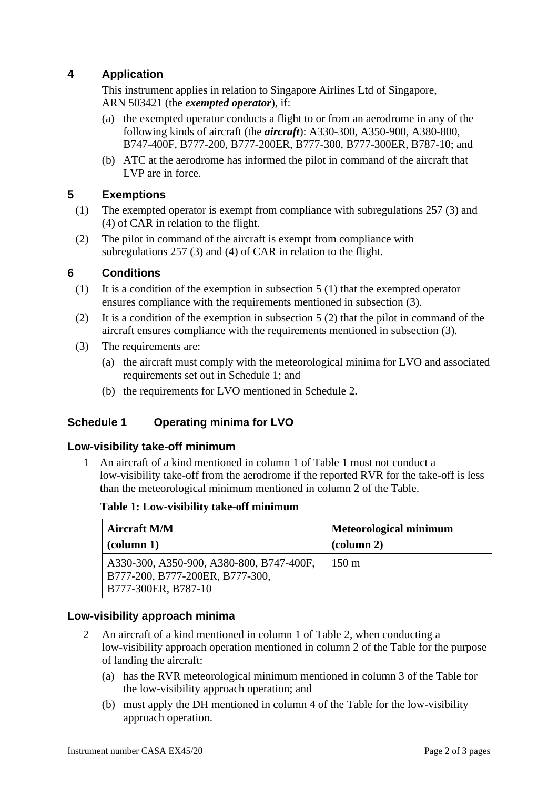# **4 Application**

This instrument applies in relation to Singapore Airlines Ltd of Singapore, ARN 503421 (the *exempted operator*), if:

- (a) the exempted operator conducts a flight to or from an aerodrome in any of the following kinds of aircraft (the *aircraft*): A330-300, A350-900, A380-800, B747-400F, B777-200, B777-200ER, B777-300, B777-300ER, B787-10; and
- (b) ATC at the aerodrome has informed the pilot in command of the aircraft that LVP are in force.

### **5 Exemptions**

- (1) The exempted operator is exempt from compliance with subregulations 257 (3) and (4) of CAR in relation to the flight.
- (2) The pilot in command of the aircraft is exempt from compliance with subregulations 257 (3) and (4) of CAR in relation to the flight.

### **6 Conditions**

- (1) It is a condition of the exemption in subsection 5 (1) that the exempted operator ensures compliance with the requirements mentioned in subsection (3).
- (2) It is a condition of the exemption in subsection  $5(2)$  that the pilot in command of the aircraft ensures compliance with the requirements mentioned in subsection (3).
- (3) The requirements are:
	- (a) the aircraft must comply with the meteorological minima for LVO and associated requirements set out in Schedule 1; and
	- (b) the requirements for LVO mentioned in Schedule 2.

### **Schedule 1 Operating minima for LVO**

### **Low-visibility take-off minimum**

1 An aircraft of a kind mentioned in column 1 of Table 1 must not conduct a low-visibility take-off from the aerodrome if the reported RVR for the take-off is less than the meteorological minimum mentioned in column 2 of the Table.

### **Table 1: Low-visibility take-off minimum**

| <b>Aircraft M/M</b>                                                                                | <b>Meteorological minimum</b> |
|----------------------------------------------------------------------------------------------------|-------------------------------|
| $\left(\text{column }1\right)$                                                                     | $\alpha$ (column 2)           |
| A330-300, A350-900, A380-800, B747-400F,<br>B777-200, B777-200ER, B777-300,<br>B777-300ER, B787-10 | $150 \text{ m}$               |

### **Low-visibility approach minima**

- 2 An aircraft of a kind mentioned in column 1 of Table 2, when conducting a low-visibility approach operation mentioned in column 2 of the Table for the purpose of landing the aircraft:
	- (a) has the RVR meteorological minimum mentioned in column 3 of the Table for the low-visibility approach operation; and
	- (b) must apply the DH mentioned in column 4 of the Table for the low-visibility approach operation.